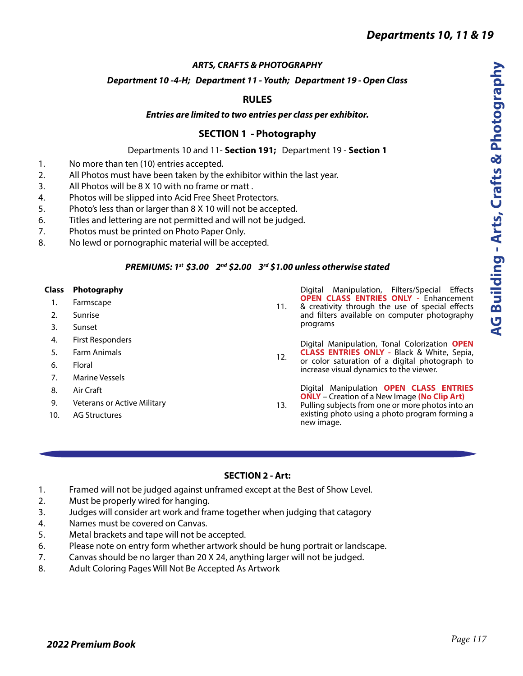### *ARTS, CRAFTS & PHOTOGRAPHY*

### *Department 10 -4-H; Department 11 - Youth; Department 19 - Open Class*

### **RULES**

### *Entries are limited to two entries per class per exhibitor.*

### **SECTION 1 - Photography**

#### Departments 10 and 11- **Section 191;** Department 19 - **Section 1**

- 1. No more than ten (10) entries accepted.
- 2. All Photos must have been taken by the exhibitor within the last year.
- 3. All Photos will be 8 X 10 with no frame or matt .
- 4. Photos will be slipped into Acid Free Sheet Protectors.
- 5. Photo's less than or larger than 8 X 10 will not be accepted.
- 6. Titles and lettering are not permitted and will not be judged.
- 7. Photos must be printed on Photo Paper Only.
- 8. No lewd or pornographic material will be accepted.

### *PREMIUMS: 1st \$3.00 2nd \$2.00 3rd \$1.00 unless otherwise stated*

#### **Class Photography**

- 1. Farmscape
- 2. Sunrise
- 3. Sunset
- 4. First Responders
- 5. Farm Animals
- 6. Floral
- 7. Marine Vessels
- 8. Air Craft
- 9. Veterans or Active Military
- 10. AG Structures

Digital Manipulation, Filters/Special Effects **OPEN CLASS ENTRIES ONLY -** Enhancement

11. & creativity through the use of special effects and filters available on computer photography programs

12. Digital Manipulation, Tonal Colorization **OPEN CLASS ENTRIES ONLY -** Black & White, Sepia, or color saturation of a digital photograph to increase visual dynamics to the viewer.

> Digital Manipulation **OPEN CLASS ENTRIES ONLY** – Creation of a New Image **(No Clip Art)**

13. Pulling subjects from one or more photos into an existing photo using a photo program forming a new image.

### **SECTION 2 - Art:**

- 1. Framed will not be judged against unframed except at the Best of Show Level.
- 2. Must be properly wired for hanging.
- 3. Judges will consider art work and frame together when judging that catagory
- 4. Names must be covered on Canvas.
- 5. Metal brackets and tape will not be accepted.
- 6. Please note on entry form whether artwork should be hung portrait or landscape.
- 7. Canvas should be no larger than 20 X 24, anything larger will not be judged.
- 8. Adult Coloring Pages Will Not Be Accepted As Artwork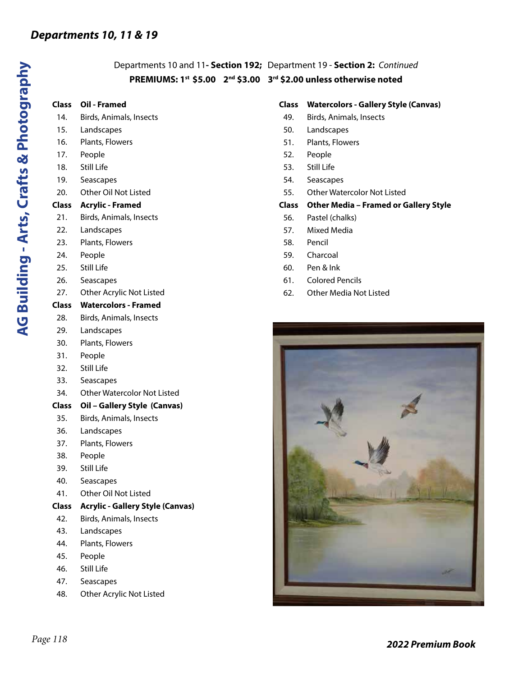## Departments 10 and 11**- Section 192;** Department 19 - **Section 2:** *Continued* **PREMIUMS: 1st \$5.00 2nd \$3.00 3rd \$2.00 unless otherwise noted**

## **Class Oil - Framed**

- 14. Birds, Animals, Insects
- 15. Landscapes
- 16. Plants, Flowers
- 17. People
- 18. Still Life
- 19. Seascapes
- 20. Other Oil Not Listed

## **Class Acrylic - Framed**

- 21. Birds, Animals, Insects
- 22. Landscapes
- 23. Plants, Flowers
- 24. People
- 25. Still Life
- 26. Seascapes
- 27. Other Acrylic Not Listed

## **Class Watercolors - Framed**

- 28. Birds, Animals, Insects
- 29. Landscapes
- 30. Plants, Flowers
- 31. People
- 32. Still Life
- 33. Seascapes
- 34. Other Watercolor Not Listed
- **Class Oil Gallery Style (Canvas)**
- 35. Birds, Animals, Insects
- 36. Landscapes
- 37. Plants, Flowers
- 38. People
- 39. Still Life
- 40. Seascapes
- 41. Other Oil Not Listed
- **Class Acrylic Gallery Style (Canvas)**
- 42. Birds, Animals, Insects
- 43. Landscapes
- 44. Plants, Flowers
- 45. People
- 46. Still Life
- 47. Seascapes
- 48. Other Acrylic Not Listed

## **Class Watercolors - Gallery Style (Canvas)**

- 49. Birds, Animals, Insects
- 50. Landscapes
- 51. Plants, Flowers
- 52. People
- 53. Still Life
- 54. Seascapes
- 55. Other Watercolor Not Listed

## **Class Other Media – Framed or Gallery Style**

- 56. Pastel (chalks)
- 57. Mixed Media
- 58. Pencil
- 59. Charcoal
- 60. Pen & Ink
- 61. Colored Pencils
- 62. Other Media Not Listed

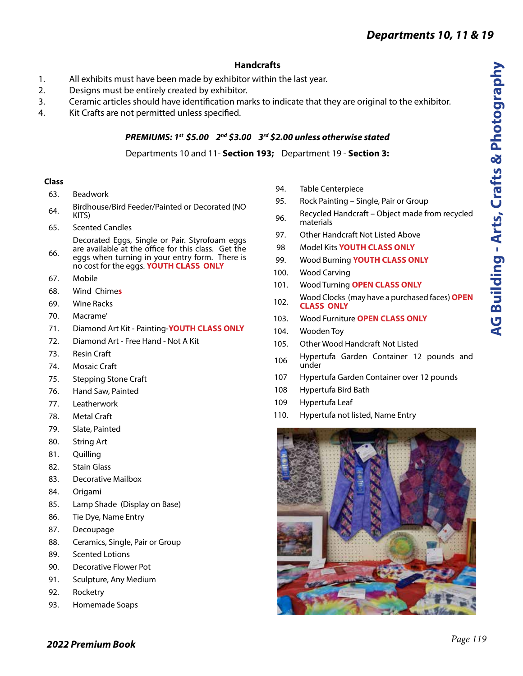## **Handcrafts**

- 1. All exhibits must have been made by exhibitor within the last year.
- 2. Designs must be entirely created by exhibitor.
- 3. Ceramic articles should have identification marks to indicate that they are original to the exhibitor.
- 4. Kit Crafts are not permitted unless specified.

### *PREMIUMS: 1st \$5.00 2nd \$3.00 3rd \$2.00 unless otherwise stated*

Departments 10 and 11- **Section 193;** Department 19 - **Section 3:**

### **Class**

- 63. Beadwork
- 64. Birdhouse/Bird Feeder/Painted or Decorated (NO KITS)
- 65. Scented Candles

Decorated Eggs, Single or Pair. Styrofoam eggs are available at the office for this class. Get the

- 66. eggs when turning in your entry form. There is no cost for the eggs. **YOUTH CLASS ONLY**
- 67. Mobile
- 68. Wind Chime**s**
- 69. Wine Racks
- 70. Macrame'
- 71. Diamond Art Kit Painting-**YOUTH CLASS ONLY**
- 72. Diamond Art Free Hand Not A Kit
- 73. Resin Craft
- 74. Mosaic Craft
- 75. Stepping Stone Craft
- 76. Hand Saw, Painted
- 77. Leatherwork
- 78. Metal Craft
- 79. Slate, Painted
- 80. String Art
- 81. Quilling
- 82. Stain Glass
- 83. Decorative Mailbox
- 84. Origami
- 85. Lamp Shade (Display on Base)
- 86. Tie Dye, Name Entry
- 87. Decoupage
- 88. Ceramics, Single, Pair or Group
- 89. Scented Lotions
- 90. Decorative Flower Pot
- 91. Sculpture, Any Medium
- 92. Rocketry
- 93. Homemade Soaps
- 94. Table Centerpiece
- 95. Rock Painting Single, Pair or Group
- 96. Recycled Handcraft Object made from recycled materials
- 97. Other Handcraft Not Listed Above
- 98 Model Kits **YOUTH CLASS ONLY**
- 99. Wood Burning **YOUTH CLASS ONLY**
- 100. Wood Carving
- 101. Wood Turning **OPEN CLASS ONLY**
- 102. Wood Clocks (may have a purchased faces) **OPEN CLASS ONLY**
- 103. Wood Furniture **OPEN CLASS ONLY**
- 104. Wooden Toy
- 105. Other Wood Handcraft Not Listed
- 106 Hypertufa Garden Container 12 pounds and under
- 107 Hypertufa Garden Container over 12 pounds
- 108 Hypertufa Bird Bath
- 109 Hypertufa Leaf
- 110. Hypertufa not listed, Name Entry